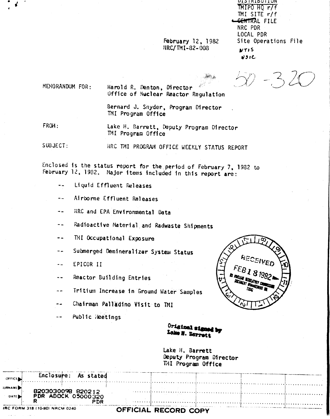**February 12, 1982** NRC/TMI-82-008

**DISTRIBUTION** MIPO HO r/f TMI SITE r/f <del>SENTR</del>AL FILE NRC PDR LOCAL PDR Site Operations File **NTIS**  $231C$ 

MENORANDUM FOR:

Harold R. Denton, Director Office of Nuclear Reactor Regulation

Bernard J. Snyder, Program Director TMI Program Office

FROM:

Lake H. Barrett, Deputy Program Director TMI Program Office

 $SUBJECT:$ NRC TMI PROGRAM OFFICE WEEKLY STATUS REPORT

Enclosed is the status report for the period of February 7, 1982 to February 12, 1982. Major items included in this report are:

- $\rightarrow$   $\rightarrow$ Liquid Effluent Releases
- Airborne Effluent Releases
- NRC and EPA Environmental Data  $\sim$   $\sim$

Radioactive Material and Radwaste Shipments  $-$ 

- TMI Occupational Exposure  $\blacksquare$
- Submerged Demineralizer System Status  $\rightarrow$   $\rightarrow$
- EPICOR II  $\ddot{\phantom{a}}$
- Reactor Building Entries  $\sim$   $\sim$
- Tritium Increase in Ground Water Samples
- Chairman Palladino Visit to TMI
- Public Reetings  $- -$



Original signed by Lake H. Barrett

Lake H. Barrett Deputy Program Director TMI Program Office

Enclosure: As stated OFFICE. **URNAME** 8203030098 820212 PDR ADOCK 05000320 **DATE** PDR IRC FORM 318 (10-80) NRCM 0240 OFFICIAL RECORD COPY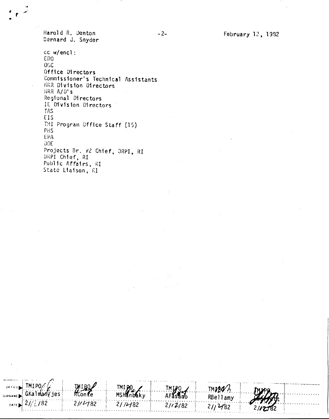February 12, 1982

Harold R. Denton Sernard J. Snyder

TMIP<sub>0</sub>

 $21/2/82$ 

**SURN** 

DATE

GKalmany jes

**MIROZ**<br>RConce

 $21/1182$ 

TMI PO.

**MSHanbaky** 

 $21/1482$ 

TMIPO

AFasano

 $21/2/82$ 

**TMIRO** h

RBellamy

 $21/482$ 

cc w/encl: EDO. **OGC** Office Directors Commissioner's Technical Assistants MRR Division Directors HRR A/D's Regional Directors IE Division Directors TAS EIS TMI Program Office Staff (15) PHS **EPA**  $00E$ Projects Br. #2 Chief, DRPI, RI DRPI Chief, RI Public Affairs, RI State Liaison, RI

 $-2-$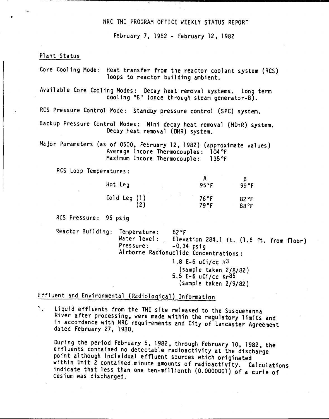## NRC TMI PROGRAM OFFICE WEEKLY STATUS REPORT

February 7, 1982 - February 12, 1982

#### Plant Status

•

Core Cooling Mode: Heat transfer from the reactor coolant system (ReS) loops to reactor building ambient.

Available Core Cooling Modes: Decay heat removal systems. Long term cooling "B" (once through steam generator-B).

RCS Pressure Control Mode: Standby pressure control (SPC) system.

Backup Pressure Control Modes: Mini decay heat removal (MOHR) system. Decay heat removal (DHR) system.

Major Parameters (as of 0500, February 12, 1982) (approximate values) Average Incore Thermocouples: 104°F<br>Maximum Incore Thermocouple: 135°F Maximum Incore Thermocouple:

RCS Loop Temperatures:

| Hot Leg      | 95°F | 99 °F |
|--------------|------|-------|
| Cold Leg (1) | 76°F | 82 °F |
| (2)          | 79°F | 88 °F |

RCS Pressure: 96 psig

Reactor Building: Temperature: 62°F<br>Water level: Eleva Water level: Elevation 284.1 ft.  $(1.6 \text{ ft. from floor})$ <br>Pressure:  $-0.34 \text{ psia}$  $-0.34$  psig Ai rborne Radfonucl ide Concentrations: 1.8 E-6 uCi/cc H3 (sample taken 2/8/82) 5.5 E-6 uCi/cc Kr85 (sample taken 2/9/82)

Effluent and Environmental (Radiological) Information

1. Liquid effluents from the TM! site released to the Susquehanna River after processing, were made within the regulatory limits and in accordance with NRC requirements and City of lancaster Agreement dated February 27, 1980.

During the period February 5,1982, through February 10, 1982, the effluents contained no detectable radioactivity at the discharge point although individual effluent Sources which originated within Unit 2 contained minute amounts of radioactivity. Calculations indicate that less than one ten-millionth (0.0000001) of a curie of cesium was discharged.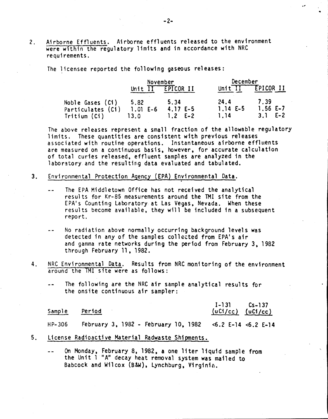2. Airborne Effluents. Airborne effluents released to the environment were within the regulatory limits and in accordance with NRC requirements.

The licensee reported the following gaseous releases:

|                                       | November           |                   | December             |                   |  |
|---------------------------------------|--------------------|-------------------|----------------------|-------------------|--|
|                                       | Unit               | EPICOR II         | Unit $\overline{11}$ | <b>EPICOR II</b>  |  |
| Noble Gases (Ci)<br>Particulates (Ci) | 5.82<br>$1.01 E-6$ | 5.34<br>$4.17E-5$ | 24.4<br>$1.14E-5$    | 7.39<br>$1.56E-7$ |  |
| Tritium (Ci)                          | 13.0               | $1.2$ E-2         | 1.14                 | $3.1$ E-2         |  |

The above releases represent a small fraction of the allowable regulatory limits. These quantities are consistent with previous releases associated with routine operations. Instantaneous airborne effluents are measured on a continuous basis. however. for accurate calculation of total curies released. effluent samples are analyzed in the laboratory and the resulting data evaluated and tabulated.

- 3. Environmental Protection Agency (EPA) Environmental Data.
	- The EPA Middletown Office has not received the analytical  $\overline{a}$ results for Kr-85 measurements around the TMI site from the EPA's Counting Laboratory at Las Vegas, Nevada. When thes results become available, they will be included in a subseque repo rt.
	- No radiation above normally occurring background levels was  $-$ detected in any of the samples collected from EPA's air and gamma rate networks during the period from February 3. 1982 through February 11, 1982.
- 4. NRC Environmental Data. Results from NRC monitoring of the environment around the TMI site were as follows:
	- The following are the NRC air sample analytical results for  $\frac{1}{2}$ the onsite continuous air sampler:

|        | Sample Period |  |  |  |  |  | $I-131$ $Cs-137$<br>$(uCl/cc)$ $(uCl/cc)$                |  |
|--------|---------------|--|--|--|--|--|----------------------------------------------------------|--|
| HP-306 |               |  |  |  |  |  | February 3, 1982 - February 10, 1982 <6.2 E-14 <6.2 E-14 |  |

- 5. License Radioactive Material Radwaste Shi pments.
	- On Monday, February 8, 1982, a one liter liquid sample from  $\rightarrow$   $\rightarrow$ the Unit 1 "A" decay heat removal system was mailed to Babcock and Wilcox (B&W). Lynchburg. Virginia.

.--

•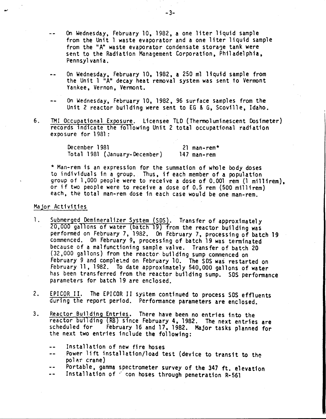- On Wednesday, February 10, 1982, a one liter liquid sample from the Unit 1 waste evaporator and a one liter liquid sample from the "A" waste evaporator condensate storage tank were sent to the Radiation Management Corporation, Philadelphia, Pennsylvania.
- On Wednesday, February 10, 1982, a 250 m1 liquid sample from the Unit 1 "A" decay heat removal system was sent to Vermont Yankee, Vernon, Vermont.
- On Wednesday, February 10, 1982, 96 surface samples from the Unit 2 reactor building were sent to EG & G, Scoville, Idaho.
- 6. TMI Occupational Exposure. Licensee TLD (Thermoluminescent Dosimeter) records indicate the following Unit 2 total occupational radiation exposure for 1981 :

| December 1981 |                               | 21 man-rem* |
|---------------|-------------------------------|-------------|
|               | Total 1981 (January-December) | 147 man-rem |

\* Man-rem is an expression for the summation of whole body doses to individuals in a group. Thus, if each member of a population group of 1,000 people were to receive a dose of 0.001 rem (1 mil1irem), or if two people were to receive a dose of 0.5 rem (500 mi11irem) each, the total man-rem dose in each case would be one man-rem.

### Major Activities

- 1. Submerged Demineralizer System (SDS). Transfer of approximately 20,000 gallons of water (batch 19) from the reactor building was performed on February 7, 1982. On February 7, processing of batch 19 commenced. On February 9, processing of batch 19 was terminated because of a malfunctioning sample valve. Transfer of batch 20 (32, 000 gallons) from the reactor buil ding sump commenced on February 9 and completed on February 10. The SDS was restarted on February 11, 1982. To date approximately 540,000 gallons of water has been transferred from the reactor building sump. SOS performance parameters for batch 19 are enclosed.
- 2. EPICOR II. The EPICOR II system continued to process SOS effluents during the report period. Performance parameters are enclosed.
- 3. Reactor Building Entries. There have been no entries into the reactor bullding (RB) since February 4, 1982. The next entries are scheduled for February 16 and 17, 1982. Major tasks planned for the next two entries include the following:
	- Installation of new fire hoses
	- Power lift installation/load test (device to transit to the  $\frac{1}{2}$ polar crane)
	- Portable, gamma spectrometer survey of the 347 ft. elevation
	- Install ation of " con hoses through penetration R-56l $\frac{1}{2}$

-3-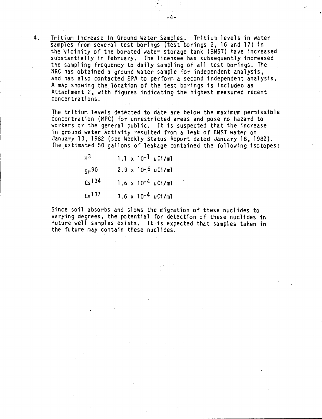4. Tritium Increase In Ground Water Samples. Tritium levels in water samples from several test borings (test borings 2, 16 and 17) in the vicinity of the borated water storage tank (BWST) have increased substantially in February. The licensee has subsequently increased the sampling frequency to daily sampling of all test borings. The NRC has obtained a ground water sample for independent analysis, and has also contacted EPA to perform a second independent analysis. A map showing the location of the test borings is included as Attachment 2, with figures indicating the highest measured recent concentrations.

The tritium levels detected to date are below the maximum permissible concentration (MPC) for unrestricted areas and pose no hazard to workers or the general public. It is suspected that the increase in ground water activity resulted from a leak of BWST water on January 13, 1982 (see Weekly Status Report dated January 18, 1982). The estimated 50 gallons of leakage contained the following isotopes:

| H <sup>3</sup>     |  | $1.1 \times 10^{-1}$ uCi/ml |
|--------------------|--|-----------------------------|
| Sr <sup>90</sup>   |  | $2.9 \times 10^{-6}$ uCi/ml |
| C <sub>s</sub> 134 |  | $1.6 \times 10^{-4}$ uCi/ml |
| $Cs$ 137           |  | $3.6 \times 10^{-4}$ uCi/ml |

Since soil absorbs and slows the migration of these nuclides to varying degrees, the potential for detection of these nuclides in future well samples exists. It is expected that samples taken in the future may contain these nuclides.

..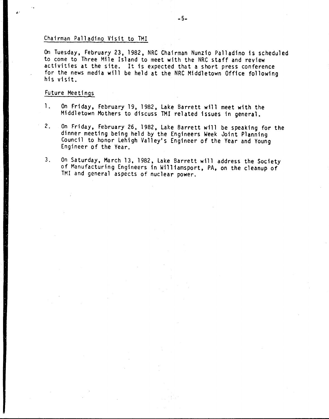## Chairman Palladino Visit to TMI

On Tuesday, February 23, 1982, NRC Chairman Nunzio Palladino is scheduled to come to Three Mile Island to meet with the NRC staff and review activities at the site. It is expected that a short press conference for the news media will be held at the NRC Middletown Office following his visit.

#### Future Meetings

- 1. On Friday, February 19, 1982, Lake Barrett will meet with the Middletown Mothers to discuss TMI related issues in general.
- 2. On Friday, February 26,1982, Lake Barrett will be speaking for the dinner meeting being held by the Engineers Week Joint Planning Council to honor Lehigh Valley's Engineer of the Year and Young Engineer of the Year.
- 3. On Saturday, March 13, 1982, Lake Barrett will address the Society of Manufacturing Engineers in Williamsport, PA, on the cleanup of TMI and general aspects of nuclear power.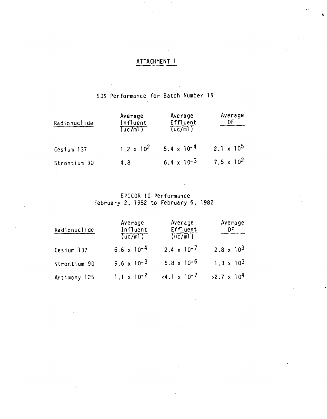# ATTACHMENT 1

# SDS Performance for Batch Number 19

| Radionuclide | Average<br>Influent<br>(uc/m) | Average<br>Effluent<br>(uc/m) | Average               |  |
|--------------|-------------------------------|-------------------------------|-----------------------|--|
| Cesium 137   | $1.2 \times 10^2$             | $5.4 \times 10^{-4}$          | $2.1 \times 10^5$     |  |
| Strontium 90 | 4.8                           | 6.4 x $10^{-3}$               | 7.5 x 10 <sup>2</sup> |  |

EPICOR II Performance<br>February 2, 1982 to February 6, 1982

| Radionuclide | Average<br>Influent<br>(uc/m) | Average<br>Effluent<br>(uc/m) | Average<br>DF                |
|--------------|-------------------------------|-------------------------------|------------------------------|
| Cesium 137   | $6.6 \times 10^{-4}$          | $2.4 \times 10^{-7}$          | 2.8 $\times$ 10 <sup>3</sup> |
| Strontium 90 | $9.6 \times 10^{-3}$          | $5.8 \times 10^{-6}$          | $1.3 \times 10^{3}$          |
| Antimony 125 | $1.1 \times 10^{-2}$          | $-4.1 \times 10^{-7}$         | $>2.7 \times 10^{4}$         |